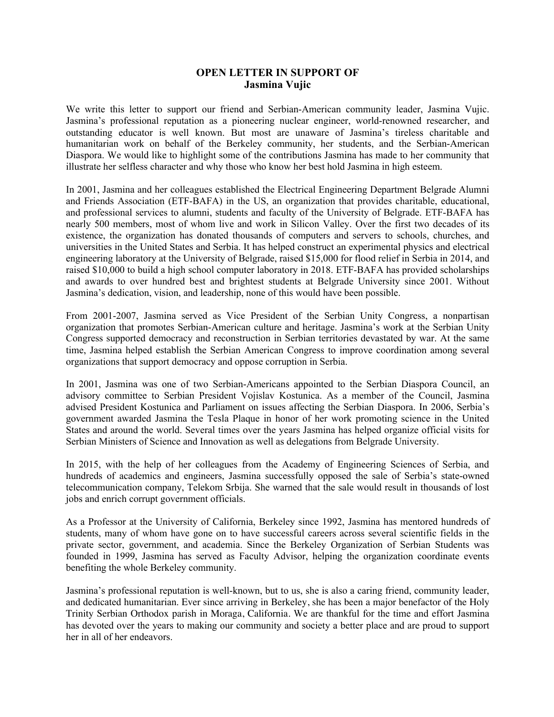# **OPEN LETTER IN SUPPORT OF Jasmina Vujic**

We write this letter to support our friend and Serbian-American community leader, Jasmina Vujic. Jasmina's professional reputation as a pioneering nuclear engineer, world-renowned researcher, and outstanding educator is well known. But most are unaware of Jasmina's tireless charitable and humanitarian work on behalf of the Berkeley community, her students, and the Serbian-American Diaspora. We would like to highlight some of the contributions Jasmina has made to her community that illustrate her selfless character and why those who know her best hold Jasmina in high esteem.

In 2001, Jasmina and her colleagues established the Electrical Engineering Department Belgrade Alumni and Friends Association (ETF-BAFA) in the US, an organization that provides charitable, educational, and professional services to alumni, students and faculty of the University of Belgrade. ETF-BAFA has nearly 500 members, most of whom live and work in Silicon Valley. Over the first two decades of its existence, the organization has donated thousands of computers and servers to schools, churches, and universities in the United States and Serbia. It has helped construct an experimental physics and electrical engineering laboratory at the University of Belgrade, raised \$15,000 for flood relief in Serbia in 2014, and raised \$10,000 to build a high school computer laboratory in 2018. ETF-BAFA has provided scholarships and awards to over hundred best and brightest students at Belgrade University since 2001. Without Jasmina's dedication, vision, and leadership, none of this would have been possible.

From 2001-2007, Jasmina served as Vice President of the Serbian Unity Congress, a nonpartisan organization that promotes Serbian-American culture and heritage. Jasmina's work at the Serbian Unity Congress supported democracy and reconstruction in Serbian territories devastated by war. At the same time, Jasmina helped establish the Serbian American Congress to improve coordination among several organizations that support democracy and oppose corruption in Serbia.

In 2001, Jasmina was one of two Serbian-Americans appointed to the Serbian Diaspora Council, an advisory committee to Serbian President Vojislav Kostunica. As a member of the Council, Jasmina advised President Kostunica and Parliament on issues affecting the Serbian Diaspora. In 2006, Serbia's government awarded Jasmina the Tesla Plaque in honor of her work promoting science in the United States and around the world. Several times over the years Jasmina has helped organize official visits for Serbian Ministers of Science and Innovation as well as delegations from Belgrade University.

In 2015, with the help of her colleagues from the Academy of Engineering Sciences of Serbia, and hundreds of academics and engineers, Jasmina successfully opposed the sale of Serbia's state-owned telecommunication company, Telekom Srbija. She warned that the sale would result in thousands of lost jobs and enrich corrupt government officials.

As a Professor at the University of California, Berkeley since 1992, Jasmina has mentored hundreds of students, many of whom have gone on to have successful careers across several scientific fields in the private sector, government, and academia. Since the Berkeley Organization of Serbian Students was founded in 1999, Jasmina has served as Faculty Advisor, helping the organization coordinate events benefiting the whole Berkeley community.

Jasmina's professional reputation is well-known, but to us, she is also a caring friend, community leader, and dedicated humanitarian. Ever since arriving in Berkeley, she has been a major benefactor of the Holy Trinity Serbian Orthodox parish in Moraga, California. We are thankful for the time and effort Jasmina has devoted over the years to making our community and society a better place and are proud to support her in all of her endeavors.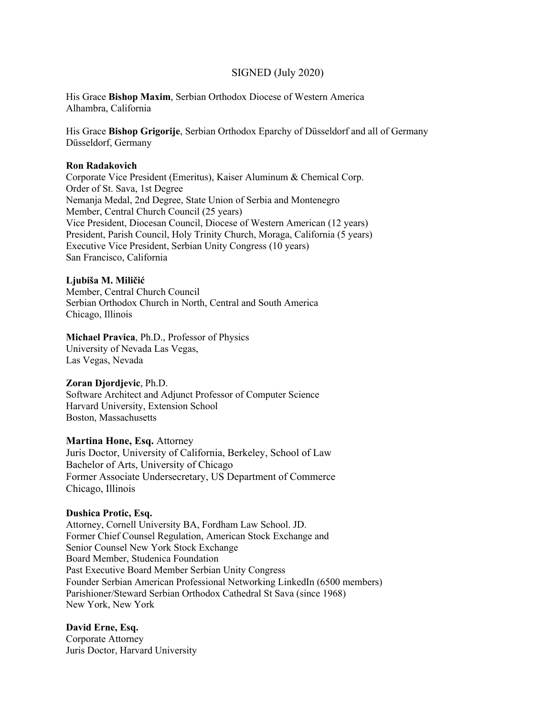# SIGNED (July 2020)

His Grace **Bishop Maxim**, Serbian Orthodox Diocese of Western America Alhambra, California

His Grace **Bishop Grigorije**, Serbian Orthodox Eparchy of Düsseldorf and all of Germany Düsseldorf, Germany

### **Ron Radakovich**

Corporate Vice President (Emeritus), Kaiser Aluminum & Chemical Corp. Order of St. Sava, 1st Degree Nemanja Medal, 2nd Degree, State Union of Serbia and Montenegro Member, Central Church Council (25 years) Vice President, Diocesan Council, Diocese of Western American (12 years) President, Parish Council, Holy Trinity Church, Moraga, California (5 years) Executive Vice President, Serbian Unity Congress (10 years) San Francisco, California

#### **Ljubiša M. Miličić**

Member, Central Church Council Serbian Orthodox Church in North, Central and South America Chicago, Illinois

# **Michael Pravica**, Ph.D., Professor of Physics

University of Nevada Las Vegas, Las Vegas, Nevada

### **Zoran Djordjevic**, Ph.D.

Software Architect and Adjunct Professor of Computer Science Harvard University, Extension School Boston, Massachusetts

## **Martina Hone, Esq.** Attorney

Juris Doctor, University of California, Berkeley, School of Law Bachelor of Arts, University of Chicago Former Associate Undersecretary, US Department of Commerce Chicago, Illinois

#### **Dushica Protic, Esq.**

Attorney, Cornell University BA, Fordham Law School. JD. Former Chief Counsel Regulation, American Stock Exchange and Senior Counsel New York Stock Exchange Board Member, Studenica Foundation Past Executive Board Member Serbian Unity Congress Founder Serbian American Professional Networking LinkedIn (6500 members) Parishioner/Steward Serbian Orthodox Cathedral St Sava (since 1968) New York, New York

## **David Erne, Esq.**

Corporate Attorney Juris Doctor, Harvard University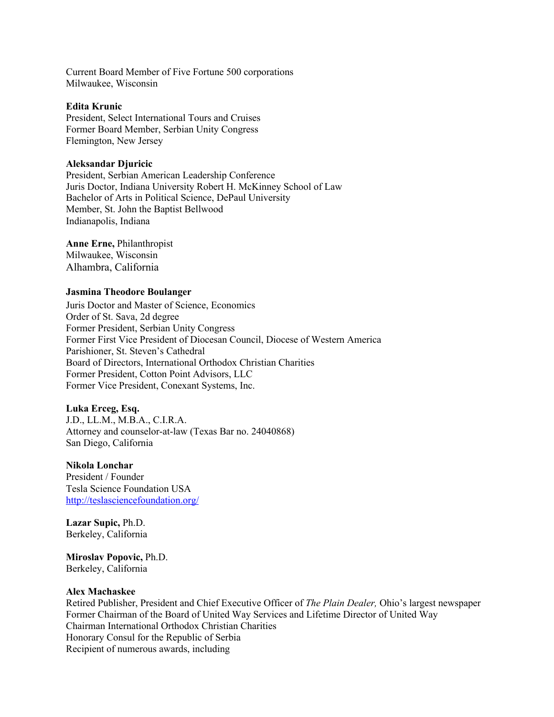Current Board Member of Five Fortune 500 corporations Milwaukee, Wisconsin

## **Edita Krunic**

President, Select International Tours and Cruises Former Board Member, Serbian Unity Congress Flemington, New Jersey

#### **Aleksandar Djuricic**

President, Serbian American Leadership Conference Juris Doctor, Indiana University Robert H. McKinney School of Law Bachelor of Arts in Political Science, DePaul University Member, St. John the Baptist Bellwood Indianapolis, Indianа

**Anne Erne,** Philanthropist Milwaukee, Wisconsin Alhambra, California

#### **Jasmina Theodore Boulanger**

Juris Doctor and Master of Science, Economics Order of St. Sava, 2d degree Former President, Serbian Unity Congress Former First Vice President of Diocesan Council, Diocese of Western America Parishioner, St. Steven's Cathedral Board of Directors, International Orthodox Christian Charities Former President, Cotton Point Advisors, LLC Former Vice President, Conexant Systems, Inc.

### **Luka Erceg, Esq.**

J.D., LL.M., M.B.A., C.I.R.A. Attorney and counselor-at-law (Texas Bar no. 24040868) San Diego, California

#### **Nikola Lonchar**

President / Founder Tesla Science Foundation USA http://teslasciencefoundation.org/

**Lazar Supic,** Ph.D. Berkeley, California

**Miroslav Popovic,** Ph.D. Berkeley, California

#### **Alex Machaskee**

Retired Publisher, President and Chief Executive Officer of *The Plain Dealer,* Ohio's largest newspaper Former Chairman of the Board of United Way Services and Lifetime Director of United Way Chairman International Orthodox Christian Charities Honorary Consul for the Republic of Serbia Recipient of numerous awards, including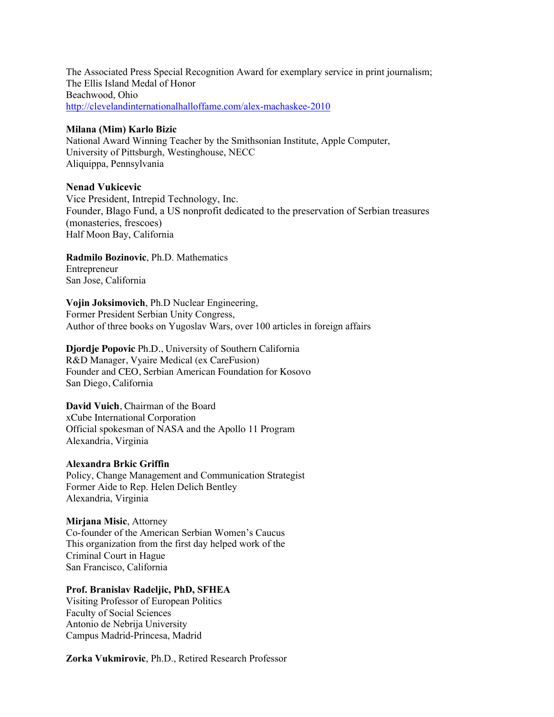The Associated Press Special Recognition Award for exemplary service in print journalism; The Ellis Island Medal of Honor Beachwood, Ohio http://clevelandinternationalhalloffame.com/alex-machaskee-2010

#### **Milana (Mim) Karlo Bizic**

National Award Winning Teacher by the Smithsonian Institute, Apple Computer, University of Pittsburgh, Westinghouse, NECC Aliquippa, Pennsylvania

## **Nenad Vukicevic**

Vice President, Intrepid Technology, Inc. Founder, Blago Fund, a US nonprofit dedicated to the preservation of Serbian treasures (monasteries, frescoеs) Half Moon Bay, California

**Radmilo Bozinovic**, Ph.D. Mathematics Entrepreneur San Jose, California

**Vojin Joksimovich**, Ph.D Nuclear Engineering, Former President Serbian Unity Congress, Author of three books on Yugoslav Wars, over 100 articles in foreign affairs

**Djordje Popovic** Ph.D., University of Southern California R&D Manager, Vyaire Medical (ex CareFusion) Founder and CEO, Serbian American Foundation for Kosovo San Diego, California

**David Vuich**, Chairman of the Board xCube International Corporation Official spokesman of NASA and the Apollo 11 Program Alexandria, Virginia

# **Alexandra Brkic Griffin**

Policy, Change Management and Communication Strategist Former Aide to Rep. Helen Delich Bentley Alexandria, Virginia

## **Mirjana Misic**, Attorney

Co-founder of the American Serbian Women's Caucus This organization from the first day helped work of the Criminal Court in Hague San Francisco, California

### **Prof. Branislav Radeljic, PhD, SFHEA**

Visiting Professor of European Politics Faculty of Social Sciences Antonio de Nebrija University Campus Madrid-Princesa, Madrid

**Zorka Vukmirovic**, Ph.D., Retired Research Professor